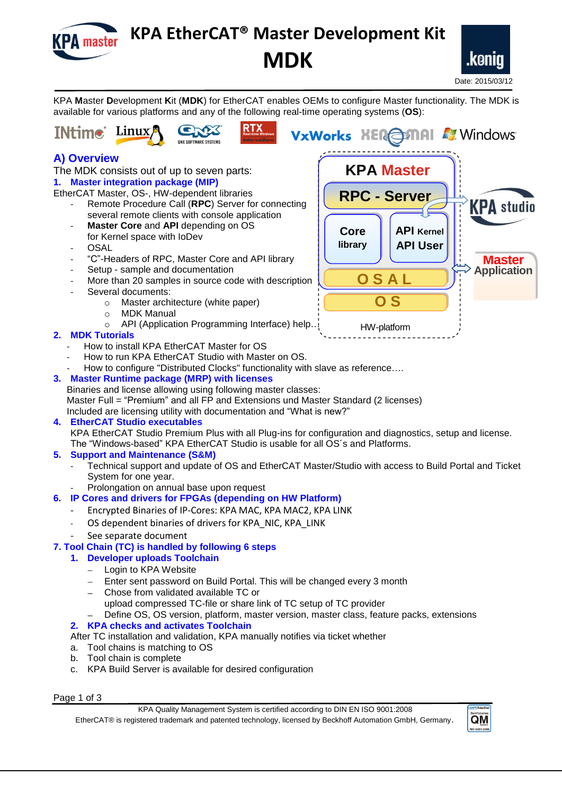

# **KPA EtherCAT® Master Development Kit MDK**



KPA **M**aster **D**evelopment **K**it (**MDK**) for EtherCAT enables OEMs to configure Master functionality. The MDK is available for various platforms and any of the following real-time operating systems (**OS**):





**A) Overview**

The MDK consists out of up to seven parts: **1. Master integration package (MIP)**

EtherCAT Master, OS-, HW-dependent libraries

- Remote Procedure Call (**RPC**) Server for connecting several remote clients with console application
- **Master Core** and **API** depending on OS for Kernel space with IoDev
- **OSAL**
- "C"-Headers of RPC, Master Core and API library
- Setup sample and documentation
- More than 20 samples in source code with description
- Several documents:
	- o Master architecture (white paper)
	- o MDK Manual
	- o API (Application Programming Interface) help…

### **2. MDK Tutorials**

- How to install KPA EtherCAT Master for OS
- How to run KPA EtherCAT Studio with Master on OS.
- How to configure "Distributed Clocks" functionality with slave as reference….

#### **3. Master Runtime package (MRP) with licenses**

Binaries and license allowing using following master classes: Master Full = "Premium" and all FP and Extensions und Master Standard (2 licenses)

Included are licensing utility with documentation and "What is new?"

#### **4. EtherCAT Studio executables**

KPA EtherCAT Studio Premium Plus with all Plug-ins for configuration and diagnostics, setup and license. The "Windows-based" KPA EtherCAT Studio is usable for all OS´s and Platforms.

#### **5. Support and Maintenance (S&M)**

- Technical support and update of OS and EtherCAT Master/Studio with access to Build Portal and Ticket System for one year.
	- Prolongation on annual base upon request

## **6. IP Cores and drivers for FPGAs (depending on HW Platform)**

- Encrypted Binaries of IP-Cores: KPA MAC, KPA MAC2, KPA LINK
- OS dependent binaries of drivers for KPA\_NIC, KPA\_LINK
- See separate document

### **7. Tool Chain (TC) is handled by following 6 steps**

- **1. Developer uploads Toolchain**
	- Login to KPA Website
	- Enter sent password on Build Portal. This will be changed every 3 month
	- Chose from validated available TC or upload compressed TC-file or share link of TC setup of TC provider Define OS, OS version, platform, master version, master class, feature packs, extensions
- **2. KPA checks and activates Toolchain**

After TC installation and validation, KPA manually notifies via ticket whether

- a. Tool chains is matching to OS
- b. Tool chain is complete
- c. KPA Build Server is available for desired configuration

Page 1 of 3

KPA Quality Management System is certified according to DIN EN ISO 9001:2008 EtherCAT® is registered trademark and patented technology, licensed by Beckhoff Automation GmbH, Germany.



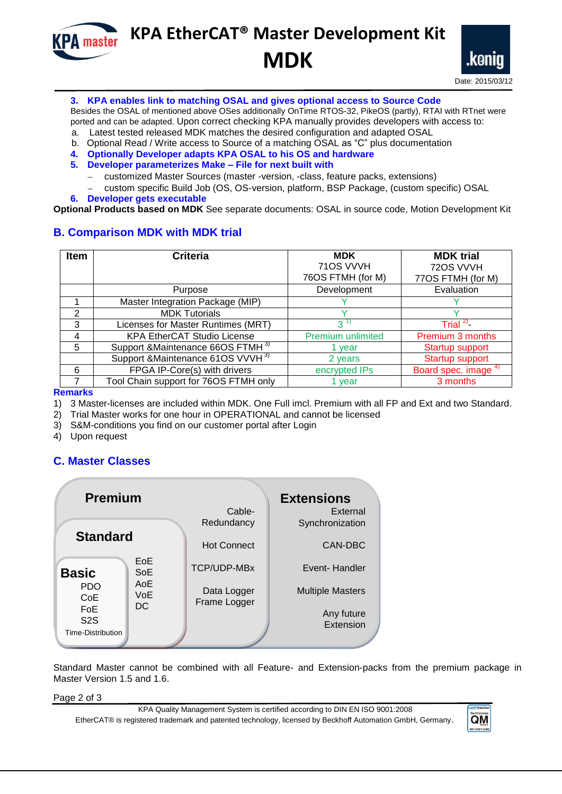**KPA** master

# **KPA EtherCAT® Master Development Kit MDK**



#### **3. KPA enables link to matching OSAL and gives optional access to Source Code**

Besides the OSAL of mentioned above OSes additionally OnTime RTOS-32, PikeOS (partly), RTAI with RTnet were ported and can be adapted. Upon correct checking KPA manually provides developers with access to:

- a. Latest tested released MDK matches the desired configuration and adapted OSAL
- b. Optional Read / Write access to Source of a matching OSAL as "C" plus documentation
- **4. Optionally Developer adapts KPA OSAL to his OS and hardware**
- **5. Developer parameterizes Make File for next built with**
	- customized Master Sources (master -version, -class, feature packs, extensions)
- custom specific Build Job (OS, OS-version, platform, BSP Package, (custom specific) OSAL **6. Developer gets executable**

**Optional Products based on MDK** See separate documents: OSAL in source code, Motion Development Kit

### **B. Comparison MDK with MDK trial**

| <b>Item</b> | <b>Criteria</b>                               | <b>MDK</b>        | <b>MDK trial</b>                |
|-------------|-----------------------------------------------|-------------------|---------------------------------|
|             |                                               | 710S VVVH         | 720S VVVH                       |
|             |                                               | 76OS FTMH (for M) | 77OS FTMH (for M)               |
|             | Purpose                                       | Development       | Evaluation                      |
|             | Master Integration Package (MIP)              |                   |                                 |
| っ           | <b>MDK Tutorials</b>                          |                   |                                 |
| 3           | Licenses for Master Runtimes (MRT)            | 3                 | Trial $^{2}$                    |
| 4           | <b>KPA EtherCAT Studio License</b>            | Premium unlimited | Premium 3 months                |
| 5           | Support & Maintenance 66OS FTMH 3)            | year              | Startup support                 |
|             | Support & Maintenance 61OS VVVH <sup>3)</sup> | 2 years           | Startup support                 |
| 6           | FPGA IP-Core(s) with drivers                  | encrypted IPs     | Board spec. image <sup>4)</sup> |
|             | Tool Chain support for 76OS FTMH only         | vear              | 3 months                        |

**Remarks** 

- 1) 3 Master-licenses are included within MDK. One Full imcl. Premium with all FP and Ext and two Standard.
- 2) Trial Master works for one hour in OPERATIONAL and cannot be licensed
- 3) S&M-conditions you find on our customer portal after Login
- 4) Upon request

### **C. Master Classes**

| <b>Premium</b>  |                      | <b>Extensions</b>                  |
|-----------------|----------------------|------------------------------------|
|                 | Cable-<br>Redundancy | External<br>Synchronization        |
| <b>Standard</b> |                      | CAN-DBC                            |
| EoE<br>SoE      | <b>TCP/UDP-MBx</b>   | Event-Handler                      |
| <b>VoE</b>      | Data Logger          | <b>Multiple Masters</b>            |
|                 |                      | Any future                         |
|                 |                      | Extension                          |
|                 | AoE<br>DC.           | <b>Hot Connect</b><br>Frame Logger |

Standard Master cannot be combined with all Feature- and Extension-packs from the premium package in Master Version 1.5 and 1.6.

Page 2 of 3

KPA Quality Management System is certified according to DIN EN ISO 9001:2008 EtherCAT® is registered trademark and patented technology, licensed by Beckhoff Automation GmbH, Germany.